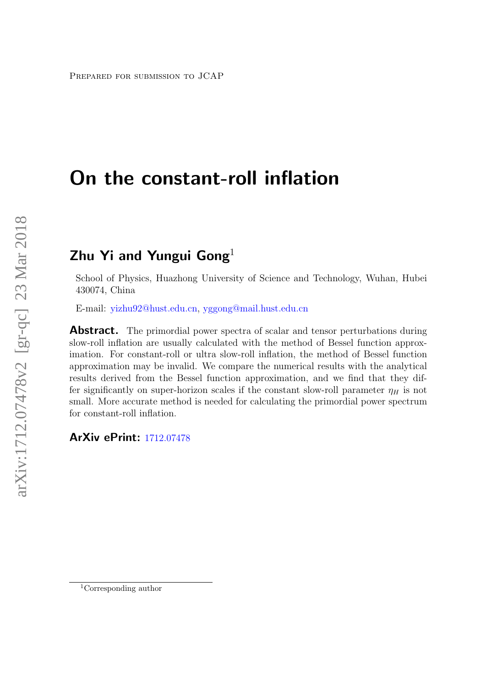# On the constant-roll inflation

## Zhu Yi and Yungui Gong $^1$

School of Physics, Huazhong University of Science and Technology, Wuhan, Hubei 430074, China

E-mail: [yizhu92@hust.edu.cn,](mailto:yizhu92@hust.edu.cn) [yggong@mail.hust.edu.cn](mailto:yggong@mail.hust.edu.cn)

**Abstract.** The primordial power spectra of scalar and tensor perturbations during slow-roll inflation are usually calculated with the method of Bessel function approximation. For constant-roll or ultra slow-roll inflation, the method of Bessel function approximation may be invalid. We compare the numerical results with the analytical results derived from the Bessel function approximation, and we find that they differ significantly on super-horizon scales if the constant slow-roll parameter  $\eta_H$  is not small. More accurate method is needed for calculating the primordial power spectrum for constant-roll inflation.

## ArXiv ePrint: [1712.07478](http://arxiv.org/abs/1712.07478)

<sup>1</sup>Corresponding author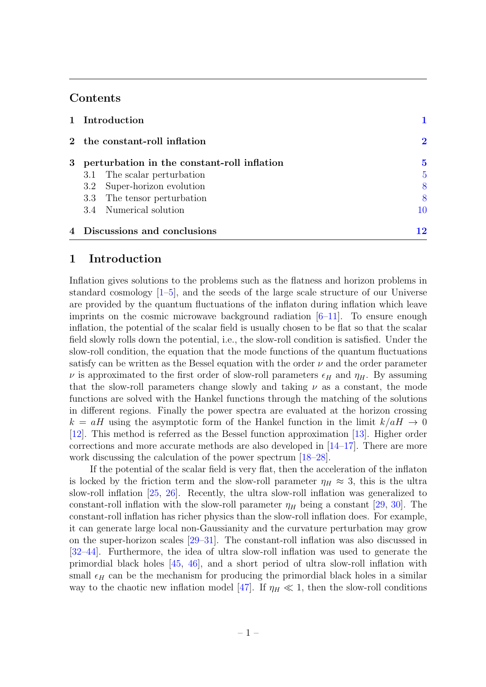## Contents

|  | 1 Introduction                                |                         |
|--|-----------------------------------------------|-------------------------|
|  | 2 the constant-roll inflation                 | $\overline{\mathbf{2}}$ |
|  | 3 perturbation in the constant-roll inflation | 5                       |
|  | 3.1 The scalar perturbation                   | 5                       |
|  | 3.2 Super-horizon evolution                   | 8                       |
|  | 3.3 The tensor perturbation                   |                         |
|  | 3.4 Numerical solution                        | 10                      |
|  | 4 Discussions and conclusions                 | 12                      |

## <span id="page-1-0"></span>1 Introduction

Inflation gives solutions to the problems such as the flatness and horizon problems in standard cosmology  $[1–5]$  $[1–5]$ , and the seeds of the large scale structure of our Universe are provided by the quantum fluctuations of the inflaton during inflation which leave imprints on the cosmic microwave background radiation [\[6–](#page-13-1)[11\]](#page-13-2). To ensure enough inflation, the potential of the scalar field is usually chosen to be flat so that the scalar field slowly rolls down the potential, i.e., the slow-roll condition is satisfied. Under the slow-roll condition, the equation that the mode functions of the quantum fluctuations satisfy can be written as the Bessel equation with the order  $\nu$  and the order parameter  $\nu$  is approximated to the first order of slow-roll parameters  $\epsilon_H$  and  $\eta_H$ . By assuming that the slow-roll parameters change slowly and taking  $\nu$  as a constant, the mode functions are solved with the Hankel functions through the matching of the solutions in different regions. Finally the power spectra are evaluated at the horizon crossing  $k = aH$  using the asymptotic form of the Hankel function in the limit  $k/aH \rightarrow 0$ [\[12\]](#page-13-3). This method is referred as the Bessel function approximation [\[13\]](#page-13-4). Higher order corrections and more accurate methods are also developed in [\[14–](#page-13-5)[17\]](#page-13-6). There are more work discussing the calculation of the power spectrum  $[18-28]$ .

If the potential of the scalar field is very flat, then the acceleration of the inflaton is locked by the friction term and the slow-roll parameter  $\eta_H \approx 3$ , this is the ultra slow-roll inflation [\[25,](#page-14-1) [26\]](#page-14-2). Recently, the ultra slow-roll inflation was generalized to constant-roll inflation with the slow-roll parameter  $\eta_H$  being a constant [\[29,](#page-14-3) [30\]](#page-14-4). The constant-roll inflation has richer physics than the slow-roll inflation does. For example, it can generate large local non-Gaussianity and the curvature perturbation may grow on the super-horizon scales [\[29](#page-14-3)[–31\]](#page-14-5). The constant-roll inflation was also discussed in [\[32–](#page-14-6)[44\]](#page-15-0). Furthermore, the idea of ultra slow-roll inflation was used to generate the primordial black holes [\[45,](#page-15-1) [46\]](#page-15-2), and a short period of ultra slow-roll inflation with small  $\epsilon_H$  can be the mechanism for producing the primordial black holes in a similar way to the chaotic new inflation model [\[47\]](#page-15-3). If  $\eta_H \ll 1$ , then the slow-roll conditions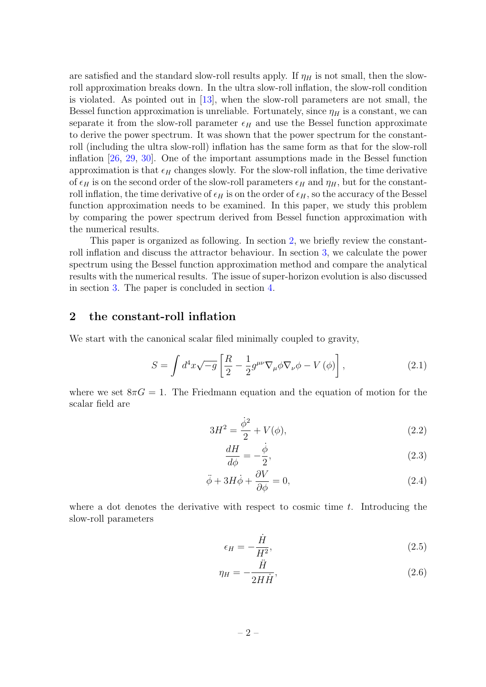are satisfied and the standard slow-roll results apply. If  $\eta_H$  is not small, then the slowroll approximation breaks down. In the ultra slow-roll inflation, the slow-roll condition is violated. As pointed out in [\[13\]](#page-13-4), when the slow-roll parameters are not small, the Bessel function approximation is unreliable. Fortunately, since  $\eta_H$  is a constant, we can separate it from the slow-roll parameter  $\epsilon_H$  and use the Bessel function approximate to derive the power spectrum. It was shown that the power spectrum for the constantroll (including the ultra slow-roll) inflation has the same form as that for the slow-roll inflation [\[26,](#page-14-2) [29,](#page-14-3) [30\]](#page-14-4). One of the important assumptions made in the Bessel function approximation is that  $\epsilon_H$  changes slowly. For the slow-roll inflation, the time derivative of  $\epsilon_H$  is on the second order of the slow-roll parameters  $\epsilon_H$  and  $\eta_H$ , but for the constantroll inflation, the time derivative of  $\epsilon_H$  is on the order of  $\epsilon_H$ , so the accuracy of the Bessel function approximation needs to be examined. In this paper, we study this problem by comparing the power spectrum derived from Bessel function approximation with the numerical results.

This paper is organized as following. In section [2,](#page-2-0) we briefly review the constantroll inflation and discuss the attractor behaviour. In section [3,](#page-5-0) we calculate the power spectrum using the Bessel function approximation method and compare the analytical results with the numerical results. The issue of super-horizon evolution is also discussed in section [3.](#page-5-0) The paper is concluded in section [4.](#page-12-0)

## <span id="page-2-0"></span>2 the constant-roll inflation

We start with the canonical scalar filed minimally coupled to gravity,

$$
S = \int d^4x \sqrt{-g} \left[ \frac{R}{2} - \frac{1}{2} g^{\mu\nu} \nabla_{\mu} \phi \nabla_{\nu} \phi - V(\phi) \right],
$$
 (2.1)

where we set  $8\pi G = 1$ . The Friedmann equation and the equation of motion for the scalar field are

$$
3H^2 = \frac{\dot{\phi}^2}{2} + V(\phi),\tag{2.2}
$$

<span id="page-2-3"></span><span id="page-2-2"></span><span id="page-2-1"></span>
$$
\frac{dH}{d\phi} = -\frac{\dot{\phi}}{2},\tag{2.3}
$$

$$
\ddot{\phi} + 3H\dot{\phi} + \frac{\partial V}{\partial \phi} = 0, \qquad (2.4)
$$

where a dot denotes the derivative with respect to cosmic time  $t$ . Introducing the slow-roll parameters

$$
\epsilon_H = -\frac{\dot{H}}{H^2},\tag{2.5}
$$

$$
\eta_H = -\frac{H}{2H\dot{H}},\tag{2.6}
$$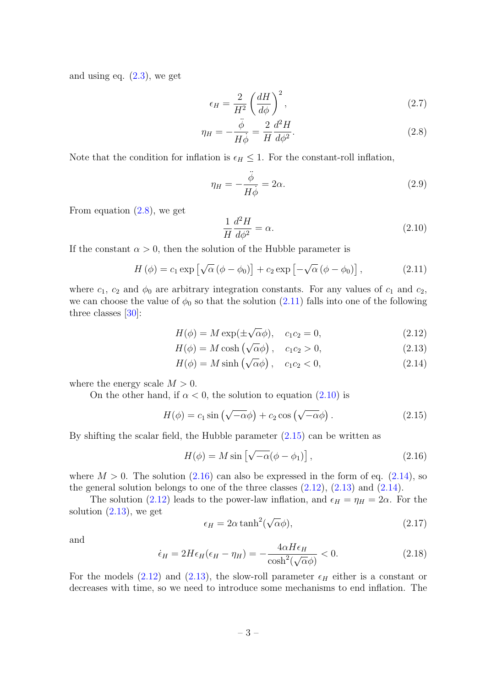and using eq. [\(2.3\)](#page-2-1), we get

$$
\epsilon_H = \frac{2}{H^2} \left(\frac{dH}{d\phi}\right)^2,\tag{2.7}
$$

$$
\eta_H = -\frac{\ddot{\phi}}{H\dot{\phi}} = \frac{2}{H}\frac{d^2H}{d\phi^2}.
$$
\n(2.8)

Note that the condition for inflation is  $\epsilon_H \leq 1$ . For the constant-roll inflation,

<span id="page-3-9"></span><span id="page-3-0"></span>
$$
\eta_H = -\frac{\ddot{\phi}}{H\dot{\phi}} = 2\alpha. \tag{2.9}
$$

From equation [\(2.8\)](#page-3-0), we get

<span id="page-3-7"></span><span id="page-3-6"></span><span id="page-3-5"></span><span id="page-3-2"></span>
$$
\frac{1}{H}\frac{d^2H}{d\phi^2} = \alpha.
$$
\n(2.10)

If the constant  $\alpha > 0$ , then the solution of the Hubble parameter is

<span id="page-3-1"></span>
$$
H(\phi) = c_1 \exp \left[\sqrt{\alpha} \left(\phi - \phi_0\right)\right] + c_2 \exp \left[-\sqrt{\alpha} \left(\phi - \phi_0\right)\right],\tag{2.11}
$$

where  $c_1$ ,  $c_2$  and  $\phi_0$  are arbitrary integration constants. For any values of  $c_1$  and  $c_2$ , we can choose the value of  $\phi_0$  so that the solution [\(2.11\)](#page-3-1) falls into one of the following three classes  $[30]$ :

$$
H(\phi) = M \exp(\pm \sqrt{\alpha}\phi), \quad c_1 c_2 = 0,
$$
\n(2.12)

$$
H(\phi) = M \cosh(\sqrt{\alpha}\phi), \quad c_1 c_2 > 0,
$$
\n(2.13)

$$
H(\phi) = M \sinh\left(\sqrt{\alpha}\phi\right), \quad c_1c_2 < 0,\tag{2.14}
$$

where the energy scale  $M > 0$ .

On the other hand, if  $\alpha < 0$ , the solution to equation  $(2.10)$  is

<span id="page-3-3"></span>
$$
H(\phi) = c_1 \sin \left(\sqrt{-\alpha} \phi\right) + c_2 \cos \left(\sqrt{-\alpha} \phi\right). \tag{2.15}
$$

By shifting the scalar field, the Hubble parameter [\(2.15\)](#page-3-3) can be written as

<span id="page-3-4"></span>
$$
H(\phi) = M \sin \left[\sqrt{-\alpha}(\phi - \phi_1)\right], \qquad (2.16)
$$

where  $M > 0$ . The solution  $(2.16)$  can also be expressed in the form of eq.  $(2.14)$ , so the general solution belongs to one of the three classes  $(2.12)$ ,  $(2.13)$  and  $(2.14)$ .

The solution [\(2.12\)](#page-3-6) leads to the power-law inflation, and  $\epsilon_H = \eta_H = 2\alpha$ . For the solution  $(2.13)$ , we get √

$$
\epsilon_H = 2\alpha \tanh^2(\sqrt{\alpha}\phi),\tag{2.17}
$$

and

<span id="page-3-8"></span>
$$
\dot{\epsilon}_H = 2H\epsilon_H(\epsilon_H - \eta_H) = -\frac{4\alpha H \epsilon_H}{\cosh^2(\sqrt{\alpha}\phi)} < 0. \tag{2.18}
$$

For the models [\(2.12\)](#page-3-6) and [\(2.13\)](#page-3-7), the slow-roll parameter  $\epsilon_H$  either is a constant or decreases with time, so we need to introduce some mechanisms to end inflation. The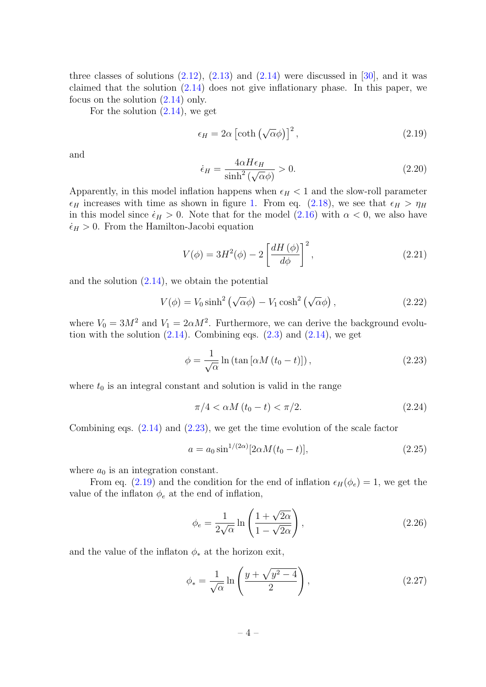three classes of solutions  $(2.12)$ ,  $(2.13)$  and  $(2.14)$  were discussed in [\[30\]](#page-14-4), and it was claimed that the solution [\(2.14\)](#page-3-5) does not give inflationary phase. In this paper, we focus on the solution [\(2.14\)](#page-3-5) only.

For the solution  $(2.14)$ , we get

<span id="page-4-1"></span>
$$
\epsilon_H = 2\alpha \left[ \coth\left(\sqrt{\alpha}\phi\right) \right]^2,\tag{2.19}
$$

and

$$
\dot{\epsilon}_H = \frac{4\alpha H \epsilon_H}{\sinh^2(\sqrt{\alpha}\phi)} > 0. \tag{2.20}
$$

Apparently, in this model inflation happens when  $\epsilon_H < 1$  and the slow-roll parameter  $\epsilon_H$  increases with time as shown in figure [1.](#page-5-2) From eq. [\(2.18\)](#page-3-8), we see that  $\epsilon_H > \eta_H$ in this model since  $\dot{\epsilon}_H > 0$ . Note that for the model  $(2.16)$  with  $\alpha < 0$ , we also have  $\dot{\epsilon}_H > 0$ . From the Hamilton-Jacobi equation

<span id="page-4-4"></span>
$$
V(\phi) = 3H^2(\phi) - 2\left[\frac{dH(\phi)}{d\phi}\right]^2,\tag{2.21}
$$

and the solution  $(2.14)$ , we obtain the potential

$$
V(\phi) = V_0 \sinh^2\left(\sqrt{\alpha}\phi\right) - V_1 \cosh^2\left(\sqrt{\alpha}\phi\right),\tag{2.22}
$$

where  $V_0 = 3M^2$  and  $V_1 = 2\alpha M^2$ . Furthermore, we can derive the background evolution with the solution  $(2.14)$ . Combining eqs.  $(2.3)$  and  $(2.14)$ , we get

$$
\phi = \frac{1}{\sqrt{\alpha}} \ln \left( \tan \left[ \alpha M \left( t_0 - t \right) \right] \right),\tag{2.23}
$$

where  $t_0$  is an integral constant and solution is valid in the range

<span id="page-4-0"></span>
$$
\pi/4 < \alpha M \left( t_0 - t \right) < \pi/2. \tag{2.24}
$$

Combining eqs. [\(2.14\)](#page-3-5) and [\(2.23\)](#page-4-0), we get the time evolution of the scale factor

<span id="page-4-3"></span>
$$
a = a_0 \sin^{1/(2\alpha)}[2\alpha M(t_0 - t)], \qquad (2.25)
$$

where  $a_0$  is an integration constant.

From eq. [\(2.19\)](#page-4-1) and the condition for the end of inflation  $\epsilon_H(\phi_e) = 1$ , we get the value of the inflaton  $\phi_e$  at the end of inflation,

$$
\phi_e = \frac{1}{2\sqrt{\alpha}} \ln \left( \frac{1 + \sqrt{2\alpha}}{1 - \sqrt{2\alpha}} \right),\tag{2.26}
$$

and the value of the inflaton  $\phi_*$  at the horizon exit,

<span id="page-4-2"></span>
$$
\phi_* = \frac{1}{\sqrt{\alpha}} \ln \left( \frac{y + \sqrt{y^2 - 4}}{2} \right),\tag{2.27}
$$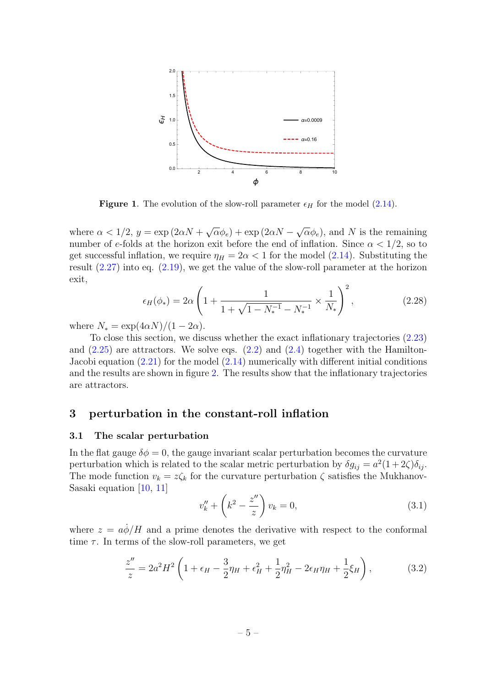

<span id="page-5-2"></span>**Figure 1.** The evolution of the slow-roll parameter  $\epsilon_H$  for the model [\(2.14\)](#page-3-5).

where  $\alpha < 1/2$ ,  $y = \exp(2\alpha N +$ √  $(\overline{\alpha}\phi_e) + \exp(2\alpha N -$ √  $(\overline{\alpha}\phi_e)$ , and N is the remaining number of e-folds at the horizon exit before the end of inflation. Since  $\alpha < 1/2$ , so to get successful inflation, we require  $\eta_H = 2\alpha < 1$  for the model [\(2.14\)](#page-3-5). Substituting the result [\(2.27\)](#page-4-2) into eq. [\(2.19\)](#page-4-1), we get the value of the slow-roll parameter at the horizon exit,

<span id="page-5-5"></span>
$$
\epsilon_H(\phi_*) = 2\alpha \left( 1 + \frac{1}{1 + \sqrt{1 - N_*^{-1}} - N_*^{-1}} \times \frac{1}{N_*} \right)^2, \tag{2.28}
$$

where  $N_* = \exp(4\alpha N)/(1-2\alpha)$ .

To close this section, we discuss whether the exact inflationary trajectories [\(2.23\)](#page-4-0) and  $(2.25)$  are attractors. We solve eqs.  $(2.2)$  and  $(2.4)$  together with the Hamilton-Jacobi equation [\(2.21\)](#page-4-4) for the model [\(2.14\)](#page-3-5) numerically with different initial conditions and the results are shown in figure [2.](#page-6-0) The results show that the inflationary trajectories are attractors.

### <span id="page-5-0"></span>3 perturbation in the constant-roll inflation

#### <span id="page-5-1"></span>3.1 The scalar perturbation

In the flat gauge  $\delta\phi = 0$ , the gauge invariant scalar perturbation becomes the curvature perturbation which is related to the scalar metric perturbation by  $\delta g_{ij} = a^2(1+2\zeta)\delta_{ij}$ . The mode function  $v_k = z \zeta_k$  for the curvature perturbation  $\zeta$  satisfies the Mukhanov-Sasaki equation [\[10,](#page-13-8) [11\]](#page-13-2)

<span id="page-5-4"></span>
$$
v_k'' + \left(k^2 - \frac{z''}{z}\right)v_k = 0,
$$
\n(3.1)

where  $z = a\dot{\phi}/H$  and a prime denotes the derivative with respect to the conformal time  $\tau$ . In terms of the slow-roll parameters, we get

<span id="page-5-3"></span>
$$
\frac{z''}{z} = 2a^2H^2 \left( 1 + \epsilon_H - \frac{3}{2}\eta_H + \epsilon_H^2 + \frac{1}{2}\eta_H^2 - 2\epsilon_H\eta_H + \frac{1}{2}\xi_H \right),\tag{3.2}
$$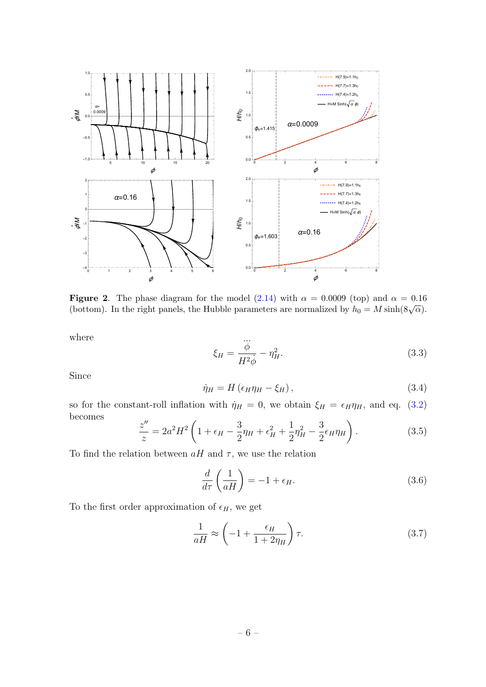

<span id="page-6-0"></span>**Figure 2.** The phase diagram for the model  $(2.14)$  with  $\alpha = 0.0009$  (top) and  $\alpha = 0.16$ Figure 2. The phase diagram for the moder (2.14) while  $\alpha = 0.0009$  (top) and  $\alpha = 0.16$  (bottom). In the right panels, the Hubble parameters are normalized by  $h_0 = M \sinh(8\sqrt{\alpha})$ .

where

$$
\xi_H = \frac{\stackrel{\cdots}{\phi}}{H^2 \dot{\phi}} - \eta_H^2. \tag{3.3}
$$

Since

$$
\dot{\eta}_H = H \left( \epsilon_H \eta_H - \xi_H \right), \tag{3.4}
$$

so for the constant-roll inflation with  $\dot{\eta}_H = 0$ , we obtain  $\xi_H = \epsilon_H \eta_H$ , and eq. [\(3.2\)](#page-5-3) becomes

<span id="page-6-2"></span>
$$
\frac{z''}{z} = 2a^2 H^2 \left( 1 + \epsilon_H - \frac{3}{2} \eta_H + \epsilon_H^2 + \frac{1}{2} \eta_H^2 - \frac{3}{2} \epsilon_H \eta_H \right). \tag{3.5}
$$

To find the relation between  $aH$  and  $\tau$ , we use the relation

$$
\frac{d}{d\tau}\left(\frac{1}{aH}\right) = -1 + \epsilon_H.
$$
\n(3.6)

To the first order approximation of  $\epsilon_H$ , we get

<span id="page-6-1"></span>
$$
\frac{1}{aH} \approx \left(-1 + \frac{\epsilon_H}{1 + 2\eta_H}\right)\tau.
$$
\n(3.7)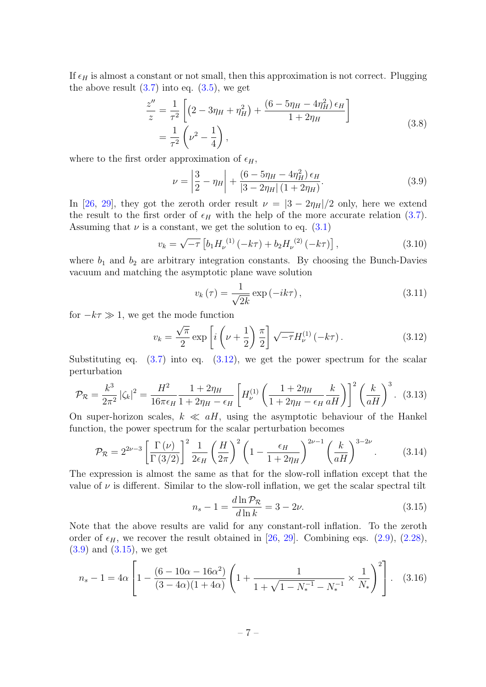If  $\epsilon_H$  is almost a constant or not small, then this approximation is not correct. Plugging the above result  $(3.7)$  into eq.  $(3.5)$ , we get

$$
\frac{z''}{z} = \frac{1}{\tau^2} \left[ \left( 2 - 3\eta_H + \eta_H^2 \right) + \frac{\left( 6 - 5\eta_H - 4\eta_H^2 \right) \epsilon_H}{1 + 2\eta_H} \right]
$$
\n
$$
= \frac{1}{\tau^2} \left( \nu^2 - \frac{1}{4} \right),
$$
\n(3.8)

where to the first order approximation of  $\epsilon_H$ ,

<span id="page-7-1"></span>
$$
\nu = \left| \frac{3}{2} - \eta_H \right| + \frac{(6 - 5\eta_H - 4\eta_H^2) \epsilon_H}{|3 - 2\eta_H| (1 + 2\eta_H)}.
$$
\n(3.9)

In [\[26,](#page-14-2) [29\]](#page-14-3), they got the zeroth order result  $\nu = \frac{3 - 2\eta_H}{2}$  only, here we extend the result to the first order of  $\epsilon_H$  with the help of the more accurate relation [\(3.7\)](#page-6-1). Assuming that  $\nu$  is a constant, we get the solution to eq.  $(3.1)$ 

$$
v_k = \sqrt{-\tau} \left[ b_1 H_\nu^{(1)} \left( -k\tau \right) + b_2 H_\nu^{(2)} \left( -k\tau \right) \right],\tag{3.10}
$$

where  $b_1$  and  $b_2$  are arbitrary integration constants. By choosing the Bunch-Davies vacuum and matching the asymptotic plane wave solution

<span id="page-7-3"></span>
$$
v_{k}\left(\tau\right) = \frac{1}{\sqrt{2k}}\exp\left(-ik\tau\right),\tag{3.11}
$$

for  $-k\tau \gg 1$ , we get the mode function

<span id="page-7-0"></span>
$$
v_k = \frac{\sqrt{\pi}}{2} \exp\left[i\left(\nu + \frac{1}{2}\right)\frac{\pi}{2}\right] \sqrt{-\tau} H_{\nu}^{(1)}\left(-k\tau\right). \tag{3.12}
$$

Substituting eq.  $(3.7)$  into eq.  $(3.12)$ , we get the power spectrum for the scalar perturbation

<span id="page-7-6"></span>
$$
\mathcal{P}_{\mathcal{R}} = \frac{k^3}{2\pi^2} |\zeta_k|^2 = \frac{H^2}{16\pi\epsilon_H} \frac{1 + 2\eta_H}{1 + 2\eta_H - \epsilon_H} \left[ H_{\nu}^{(1)} \left( \frac{1 + 2\eta_H}{1 + 2\eta_H - \epsilon_H} \frac{k}{aH} \right) \right]^2 \left( \frac{k}{aH} \right)^3. \tag{3.13}
$$

On super-horizon scales,  $k \ll aH$ , using the asymptotic behaviour of the Hankel function, the power spectrum for the scalar perturbation becomes

<span id="page-7-4"></span>
$$
\mathcal{P}_{\mathcal{R}} = 2^{2\nu-3} \left[ \frac{\Gamma(\nu)}{\Gamma(3/2)} \right]^2 \frac{1}{2\epsilon_H} \left( \frac{H}{2\pi} \right)^2 \left( 1 - \frac{\epsilon_H}{1 + 2\eta_H} \right)^{2\nu - 1} \left( \frac{k}{aH} \right)^{3 - 2\nu} . \tag{3.14}
$$

The expression is almost the same as that for the slow-roll inflation except that the value of  $\nu$  is different. Similar to the slow-roll inflation, we get the scalar spectral tilt

<span id="page-7-2"></span>
$$
n_s - 1 = \frac{d \ln \mathcal{P}_{\mathcal{R}}}{d \ln k} = 3 - 2\nu.
$$
\n(3.15)

Note that the above results are valid for any constant-roll inflation. To the zeroth order of  $\epsilon_H$ , we recover the result obtained in [\[26,](#page-14-2) [29\]](#page-14-3). Combining eqs. [\(2.9\)](#page-3-9), [\(2.28\)](#page-5-5), [\(3.9\)](#page-7-1) and [\(3.15\)](#page-7-2), we get

<span id="page-7-5"></span>
$$
n_s - 1 = 4\alpha \left[ 1 - \frac{(6 - 10\alpha - 16\alpha^2)}{(3 - 4\alpha)(1 + 4\alpha)} \left( 1 + \frac{1}{1 + \sqrt{1 - N_*^{-1}} - N_*^{-1}} \times \frac{1}{N_*} \right)^2 \right].
$$
 (3.16)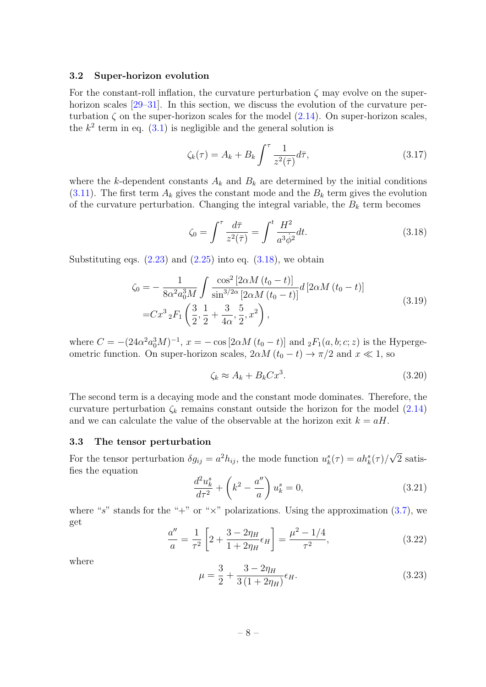#### <span id="page-8-0"></span>3.2 Super-horizon evolution

For the constant-roll inflation, the curvature perturbation  $\zeta$  may evolve on the superhorizon scales  $[29-31]$  $[29-31]$ . In this section, we discuss the evolution of the curvature perturbation  $\zeta$  on the super-horizon scales for the model  $(2.14)$ . On super-horizon scales, the  $k^2$  term in eq.  $(3.1)$  is negligible and the general solution is

$$
\zeta_k(\tau) = A_k + B_k \int^{\tau} \frac{1}{z^2(\bar{\tau})} d\bar{\tau},\tag{3.17}
$$

where the k-dependent constants  $A_k$  and  $B_k$  are determined by the initial conditions  $(3.11)$ . The first term  $A_k$  gives the constant mode and the  $B_k$  term gives the evolution of the curvature perturbation. Changing the integral variable, the  $B_k$  term becomes

<span id="page-8-2"></span>
$$
\zeta_0 = \int^{\tau} \frac{d\bar{\tau}}{z^2(\bar{\tau})} = \int^t \frac{H^2}{a^3 \dot{\phi}^2} dt.
$$
 (3.18)

Substituting eqs.  $(2.23)$  and  $(2.25)$  into eq.  $(3.18)$ , we obtain

$$
\zeta_0 = -\frac{1}{8\alpha^2 a_0^3 M} \int \frac{\cos^2 \left[2\alpha M \left(t_0 - t\right)\right]}{\sin^{3/2\alpha} \left[2\alpha M \left(t_0 - t\right)\right]} d \left[2\alpha M \left(t_0 - t\right)\right]
$$
\n
$$
= C x^3 {}_2F_1 \left(\frac{3}{2}, \frac{1}{2} + \frac{3}{4\alpha}, \frac{5}{2}, x^2\right), \tag{3.19}
$$

where  $C = -(24\alpha^2 a_0^3 M)^{-1}$ ,  $x = -\cos[2\alpha M (t_0 - t)]$  and  ${}_2F_1(a, b; c; z)$  is the Hypergeometric function. On super-horizon scales,  $2\alpha M (t_0 - t) \rightarrow \pi/2$  and  $x \ll 1$ , so

$$
\zeta_k \approx A_k + B_k C x^3. \tag{3.20}
$$

The second term is a decaying mode and the constant mode dominates. Therefore, the curvature perturbation  $\zeta_k$  remains constant outside the horizon for the model [\(2.14\)](#page-3-5) and we can calculate the value of the observable at the horizon exit  $k = aH$ .

#### <span id="page-8-1"></span>3.3 The tensor perturbation

For the tensor perturbation  $\delta g_{ij} = a^2 h_{ij}$ , the mode function  $u_k^s(\tau) = a h_k^s(\tau) / \tau$ √ 2 satisfies the equation

<span id="page-8-3"></span>
$$
\frac{d^2u_k^s}{d\tau^2} + \left(k^2 - \frac{a''}{a}\right)u_k^s = 0,
$$
\n(3.21)

where "s" stands for the "+" or " $\times$ " polarizations. Using the approximation [\(3.7\)](#page-6-1), we get

$$
\frac{a''}{a} = \frac{1}{\tau^2} \left[ 2 + \frac{3 - 2\eta_H}{1 + 2\eta_H} \epsilon_H \right] = \frac{\mu^2 - 1/4}{\tau^2},\tag{3.22}
$$

where

$$
\mu = \frac{3}{2} + \frac{3 - 2\eta_H}{3(1 + 2\eta_H)} \epsilon_H.
$$
\n(3.23)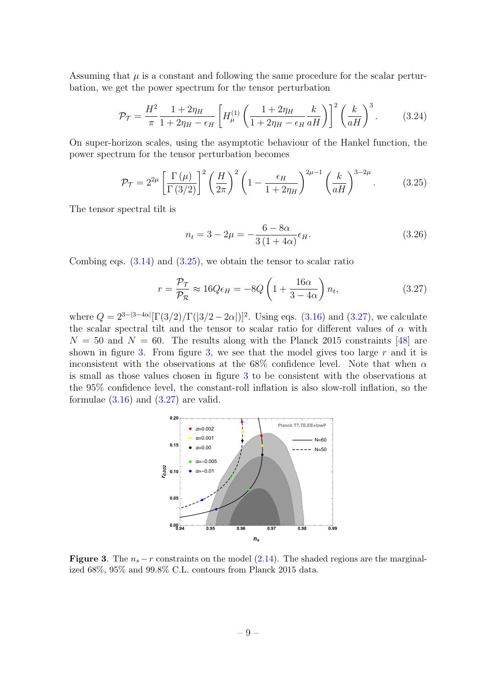Assuming that  $\mu$  is a constant and following the same procedure for the scalar perturbation, we get the power spectrum for the tensor perturbation

<span id="page-9-3"></span>
$$
\mathcal{P}_{\mathcal{T}} = \frac{H^2}{\pi} \frac{1 + 2\eta_H}{1 + 2\eta_H - \epsilon_H} \left[ H_{\mu}^{(1)} \left( \frac{1 + 2\eta_H}{1 + 2\eta_H - \epsilon_H} \frac{k}{aH} \right) \right]^2 \left( \frac{k}{aH} \right)^3. \tag{3.24}
$$

On super-horizon scales, using the asymptotic behaviour of the Hankel function, the power spectrum for the tensor perturbation becomes

<span id="page-9-0"></span>
$$
\mathcal{P}_{\mathcal{T}} = 2^{2\mu} \left[ \frac{\Gamma(\mu)}{\Gamma(3/2)} \right]^2 \left( \frac{H}{2\pi} \right)^2 \left( 1 - \frac{\epsilon_H}{1 + 2\eta_H} \right)^{2\mu - 1} \left( \frac{k}{aH} \right)^{3 - 2\mu} . \tag{3.25}
$$

The tensor spectral tilt is

<span id="page-9-4"></span>
$$
n_t = 3 - 2\mu = -\frac{6 - 8\alpha}{3(1 + 4\alpha)} \epsilon_H.
$$
 (3.26)

Combing eqs.  $(3.14)$  and  $(3.25)$ , we obtain the tensor to scalar ratio

<span id="page-9-1"></span>
$$
r = \frac{\mathcal{P}_{\mathcal{T}}}{\mathcal{P}_{\mathcal{R}}} \approx 16Q\epsilon_H = -8Q\left(1 + \frac{16\alpha}{3 - 4\alpha}\right)n_t,
$$
\n(3.27)

where  $Q = 2^{3-|3-4\alpha|}[\Gamma(3/2)/\Gamma(|3/2-2\alpha|)]^2$ . Using eqs. [\(3.16\)](#page-7-5) and [\(3.27\)](#page-9-1), we calculate the scalar spectral tilt and the tensor to scalar ratio for different values of  $\alpha$  with  $N = 50$  and  $N = 60$ . The results along with the Planck 2015 constraints [\[48\]](#page-15-4) are shown in figure [3.](#page-9-2) From figure [3,](#page-9-2) we see that the model gives too large  $r$  and it is inconsistent with the observations at the 68% confidence level. Note that when  $\alpha$ is small as those values chosen in figure [3](#page-9-2) to be consistent with the observations at the 95% confidence level, the constant-roll inflation is also slow-roll inflation, so the formulae  $(3.16)$  and  $(3.27)$  are valid.



<span id="page-9-2"></span>Figure 3. The  $n_s - r$  constraints on the model [\(2.14\)](#page-3-5). The shaded regions are the marginalized 68%, 95% and 99.8% C.L. contours from Planck 2015 data.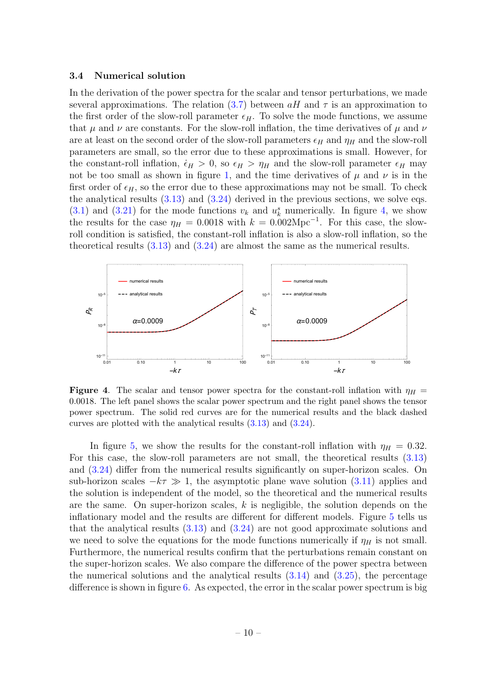#### <span id="page-10-0"></span>3.4 Numerical solution

In the derivation of the power spectra for the scalar and tensor perturbations, we made several approximations. The relation [\(3.7\)](#page-6-1) between  $aH$  and  $\tau$  is an approximation to the first order of the slow-roll parameter  $\epsilon_H$ . To solve the mode functions, we assume that  $\mu$  and  $\nu$  are constants. For the slow-roll inflation, the time derivatives of  $\mu$  and  $\nu$ are at least on the second order of the slow-roll parameters  $\epsilon_H$  and  $\eta_H$  and the slow-roll parameters are small, so the error due to these approximations is small. However, for the constant-roll inflation,  $\dot{\epsilon}_H > 0$ , so  $\epsilon_H > \eta_H$  and the slow-roll parameter  $\epsilon_H$  may not be too small as shown in figure [1,](#page-5-2) and the time derivatives of  $\mu$  and  $\nu$  is in the first order of  $\epsilon_H$ , so the error due to these approximations may not be small. To check the analytical results [\(3.13\)](#page-7-6) and [\(3.24\)](#page-9-3) derived in the previous sections, we solve eqs.  $(3.1)$  and  $(3.21)$  for the mode functions  $v_k$  and  $u_k^s$  numerically. In figure [4,](#page-10-1) we show the results for the case  $\eta_H = 0.0018$  with  $k = 0.002 \text{Mpc}^{-1}$ . For this case, the slowroll condition is satisfied, the constant-roll inflation is also a slow-roll inflation, so the theoretical results [\(3.13\)](#page-7-6) and [\(3.24\)](#page-9-3) are almost the same as the numerical results.



<span id="page-10-1"></span>**Figure 4.** The scalar and tensor power spectra for the constant-roll inflation with  $\eta_H$  = 0.0018. The left panel shows the scalar power spectrum and the right panel shows the tensor power spectrum. The solid red curves are for the numerical results and the black dashed curves are plotted with the analytical results [\(3.13\)](#page-7-6) and [\(3.24\)](#page-9-3).

In figure [5,](#page-11-0) we show the results for the constant-roll inflation with  $\eta_H = 0.32$ . For this case, the slow-roll parameters are not small, the theoretical results [\(3.13\)](#page-7-6) and [\(3.24\)](#page-9-3) differ from the numerical results significantly on super-horizon scales. On sub-horizon scales  $-k\tau \gg 1$ , the asymptotic plane wave solution [\(3.11\)](#page-7-3) applies and the solution is independent of the model, so the theoretical and the numerical results are the same. On super-horizon scales,  $k$  is negligible, the solution depends on the inflationary model and the results are different for different models. Figure [5](#page-11-0) tells us that the analytical results  $(3.13)$  and  $(3.24)$  are not good approximate solutions and we need to solve the equations for the mode functions numerically if  $\eta_H$  is not small. Furthermore, the numerical results confirm that the perturbations remain constant on the super-horizon scales. We also compare the difference of the power spectra between the numerical solutions and the analytical results  $(3.14)$  and  $(3.25)$ , the percentage difference is shown in figure [6.](#page-11-1) As expected, the error in the scalar power spectrum is big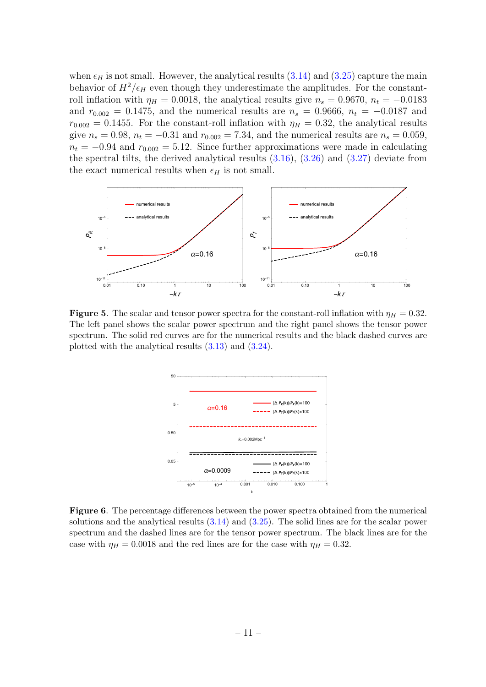when  $\epsilon_H$  is not small. However, the analytical results [\(3.14\)](#page-7-4) and [\(3.25\)](#page-9-0) capture the main behavior of  $H^2/\epsilon_H$  even though they underestimate the amplitudes. For the constantroll inflation with  $\eta_H = 0.0018$ , the analytical results give  $n_s = 0.9670$ ,  $n_t = -0.0183$ and  $r_{0.002} = 0.1475$ , and the numerical results are  $n_s = 0.9666$ ,  $n_t = -0.0187$  and  $r_{0.002} = 0.1455$ . For the constant-roll inflation with  $\eta_H = 0.32$ , the analytical results give  $n_s = 0.98$ ,  $n_t = -0.31$  and  $r_{0.002} = 7.34$ , and the numerical results are  $n_s = 0.059$ ,  $n_t = -0.94$  and  $r_{0.002} = 5.12$ . Since further approximations were made in calculating the spectral tilts, the derived analytical results [\(3.16\)](#page-7-5), [\(3.26\)](#page-9-4) and [\(3.27\)](#page-9-1) deviate from the exact numerical results when  $\epsilon_H$  is not small.



<span id="page-11-0"></span>Figure 5. The scalar and tensor power spectra for the constant-roll inflation with  $\eta_H = 0.32$ . The left panel shows the scalar power spectrum and the right panel shows the tensor power spectrum. The solid red curves are for the numerical results and the black dashed curves are plotted with the analytical results [\(3.13\)](#page-7-6) and [\(3.24\)](#page-9-3).



<span id="page-11-1"></span>Figure 6. The percentage differences between the power spectra obtained from the numerical solutions and the analytical results [\(3.14\)](#page-7-4) and [\(3.25\)](#page-9-0). The solid lines are for the scalar power spectrum and the dashed lines are for the tensor power spectrum. The black lines are for the case with  $\eta_H = 0.0018$  and the red lines are for the case with  $\eta_H = 0.32$ .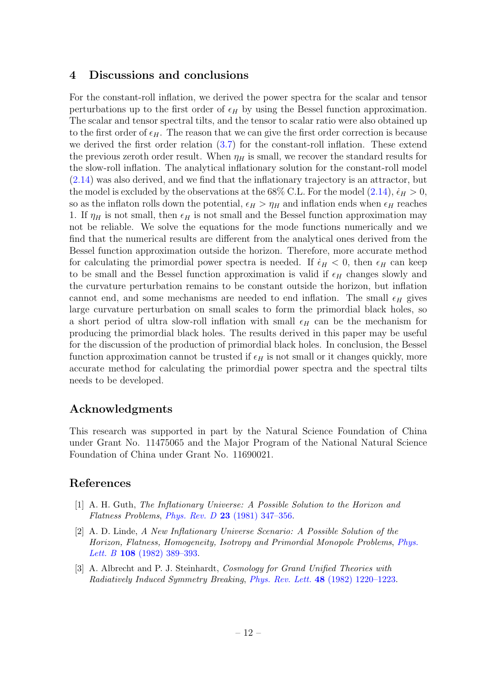## <span id="page-12-0"></span>4 Discussions and conclusions

For the constant-roll inflation, we derived the power spectra for the scalar and tensor perturbations up to the first order of  $\epsilon_H$  by using the Bessel function approximation. The scalar and tensor spectral tilts, and the tensor to scalar ratio were also obtained up to the first order of  $\epsilon_H$ . The reason that we can give the first order correction is because we derived the first order relation [\(3.7\)](#page-6-1) for the constant-roll inflation. These extend the previous zeroth order result. When  $\eta_H$  is small, we recover the standard results for the slow-roll inflation. The analytical inflationary solution for the constant-roll model [\(2.14\)](#page-3-5) was also derived, and we find that the inflationary trajectory is an attractor, but the model is excluded by the observations at the 68% C.L. For the model  $(2.14)$ ,  $\dot{\epsilon}_H > 0$ , so as the inflaton rolls down the potential,  $\epsilon_H > \eta_H$  and inflation ends when  $\epsilon_H$  reaches 1. If  $\eta_H$  is not small, then  $\epsilon_H$  is not small and the Bessel function approximation may not be reliable. We solve the equations for the mode functions numerically and we find that the numerical results are different from the analytical ones derived from the Bessel function approximation outside the horizon. Therefore, more accurate method for calculating the primordial power spectra is needed. If  $\dot{\epsilon}_H < 0$ , then  $\epsilon_H$  can keep to be small and the Bessel function approximation is valid if  $\epsilon_H$  changes slowly and the curvature perturbation remains to be constant outside the horizon, but inflation cannot end, and some mechanisms are needed to end inflation. The small  $\epsilon_H$  gives large curvature perturbation on small scales to form the primordial black holes, so a short period of ultra slow-roll inflation with small  $\epsilon_H$  can be the mechanism for producing the primordial black holes. The results derived in this paper may be useful for the discussion of the production of primordial black holes. In conclusion, the Bessel function approximation cannot be trusted if  $\epsilon_H$  is not small or it changes quickly, more accurate method for calculating the primordial power spectra and the spectral tilts needs to be developed.

## Acknowledgments

This research was supported in part by the Natural Science Foundation of China under Grant No. 11475065 and the Major Program of the National Natural Science Foundation of China under Grant No. 11690021.

## References

- <span id="page-12-1"></span>[1] A. H. Guth, The Inflationary Universe: A Possible Solution to the Horizon and Flatness Problems, Phys. Rev. D  $23$  (1981) 347-356.
- [2] A. D. Linde, A New Inflationary Universe Scenario: A Possible Solution of the Horizon, Flatness, Homogeneity, Isotropy and Primordial Monopole Problems, [Phys.](http://dx.doi.org/10.1016/0370-2693(82)91219-9) Lett. B 108 [\(1982\) 389–393.](http://dx.doi.org/10.1016/0370-2693(82)91219-9)
- [3] A. Albrecht and P. J. Steinhardt, Cosmology for Grand Unified Theories with Radiatively Induced Symmetry Breaking, Phys. Rev. Lett. 48 [\(1982\) 1220–1223.](http://dx.doi.org/10.1103/PhysRevLett.48.1220)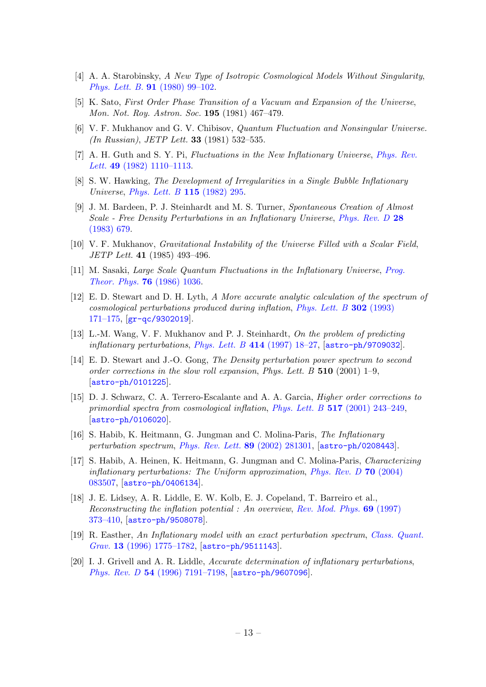- [4] A. A. Starobinsky, A New Type of Isotropic Cosmological Models Without Singularity, Phys. Lett. B. 91 [\(1980\) 99–102.](http://dx.doi.org/10.1016/0370-2693(80)90670-X)
- <span id="page-13-0"></span>[5] K. Sato, First Order Phase Transition of a Vacuum and Expansion of the Universe, Mon. Not. Roy. Astron. Soc. 195 (1981) 467–479.
- <span id="page-13-1"></span>[6] V. F. Mukhanov and G. V. Chibisov, Quantum Fluctuation and Nonsingular Universe. (In Russian), JETP Lett. 33 (1981) 532–535.
- [7] A. H. Guth and S. Y. Pi, Fluctuations in the New Inflationary Universe, [Phys. Rev.](http://dx.doi.org/10.1103/PhysRevLett.49.1110) Lett. 49 [\(1982\) 1110–1113.](http://dx.doi.org/10.1103/PhysRevLett.49.1110)
- [8] S. W. Hawking, The Development of Irregularities in a Single Bubble Inflationary Universe, [Phys. Lett. B](http://dx.doi.org/10.1016/0370-2693(82)90373-2) 115 (1982) 295.
- [9] J. M. Bardeen, P. J. Steinhardt and M. S. Turner, Spontaneous Creation of Almost Scale - Free Density Perturbations in an Inflationary Universe, [Phys. Rev. D](http://dx.doi.org/10.1103/PhysRevD.28.679) 28 [\(1983\) 679.](http://dx.doi.org/10.1103/PhysRevD.28.679)
- <span id="page-13-8"></span>[10] V. F. Mukhanov, Gravitational Instability of the Universe Filled with a Scalar Field, JETP Lett. 41 (1985) 493–496.
- <span id="page-13-2"></span>[11] M. Sasaki, Large Scale Quantum Fluctuations in the Inflationary Universe, [Prog.](http://dx.doi.org/10.1143/PTP.76.1036) [Theor. Phys.](http://dx.doi.org/10.1143/PTP.76.1036) 76 (1986) 1036.
- <span id="page-13-3"></span>[12] E. D. Stewart and D. H. Lyth, A More accurate analytic calculation of the spectrum of cosmological perturbations produced during inflation, [Phys. Lett. B](http://dx.doi.org/10.1016/0370-2693(93)90379-V) 302 (1993) [171–175,](http://dx.doi.org/10.1016/0370-2693(93)90379-V) [[gr-qc/9302019](https://arxiv.org/abs/gr-qc/9302019)].
- <span id="page-13-4"></span>[13] L.-M. Wang, V. F. Mukhanov and P. J. Steinhardt, On the problem of predicting inflationary perturbations, [Phys. Lett. B](http://dx.doi.org/10.1016/S0370-2693(97)01166-0)  $414$  (1997) 18–27, [[astro-ph/9709032](https://arxiv.org/abs/astro-ph/9709032)].
- <span id="page-13-5"></span>[14] E. D. Stewart and J.-O. Gong, The Density perturbation power spectrum to second order corrections in the slow roll expansion, Phys. Lett.  $B$  510 (2001) 1–9. [[astro-ph/0101225](https://arxiv.org/abs/astro-ph/0101225)].
- [15] D. J. Schwarz, C. A. Terrero-Escalante and A. A. Garcia, Higher order corrections to primordial spectra from cosmological inflation, Phys. Lett. B 517 [\(2001\) 243–249,](http://dx.doi.org/10.1016/S0370-2693(01)01036-X) [[astro-ph/0106020](https://arxiv.org/abs/astro-ph/0106020)].
- [16] S. Habib, K. Heitmann, G. Jungman and C. Molina-Paris, The Inflationary perturbation spectrum, [Phys. Rev. Lett.](http://dx.doi.org/10.1103/PhysRevLett.89.281301) 89 (2002) 281301, [[astro-ph/0208443](https://arxiv.org/abs/astro-ph/0208443)].
- <span id="page-13-6"></span>[17] S. Habib, A. Heinen, K. Heitmann, G. Jungman and C. Molina-Paris, Characterizing inflationary perturbations: The Uniform approximation, [Phys. Rev. D](http://dx.doi.org/10.1103/PhysRevD.70.083507) 70 (2004) [083507,](http://dx.doi.org/10.1103/PhysRevD.70.083507) [[astro-ph/0406134](https://arxiv.org/abs/astro-ph/0406134)].
- <span id="page-13-7"></span>[18] J. E. Lidsey, A. R. Liddle, E. W. Kolb, E. J. Copeland, T. Barreiro et al., Reconstructing the inflation potential : An overview, [Rev. Mod. Phys.](http://dx.doi.org/10.1103/RevModPhys.69.373) 69 (1997) [373–410,](http://dx.doi.org/10.1103/RevModPhys.69.373) [[astro-ph/9508078](https://arxiv.org/abs/astro-ph/9508078)].
- [19] R. Easther, An Inflationary model with an exact perturbation spectrum, [Class. Quant.](http://dx.doi.org/10.1088/0264-9381/13/7/011) Grav. 13 [\(1996\) 1775–1782,](http://dx.doi.org/10.1088/0264-9381/13/7/011)  $\alpha$  [astro-ph/9511143](https://arxiv.org/abs/astro-ph/9511143).
- [20] I. J. Grivell and A. R. Liddle, Accurate determination of inflationary perturbations, Phys. Rev. D 54 [\(1996\) 7191–7198,](http://dx.doi.org/10.1103/PhysRevD.54.7191) [[astro-ph/9607096](https://arxiv.org/abs/astro-ph/9607096)].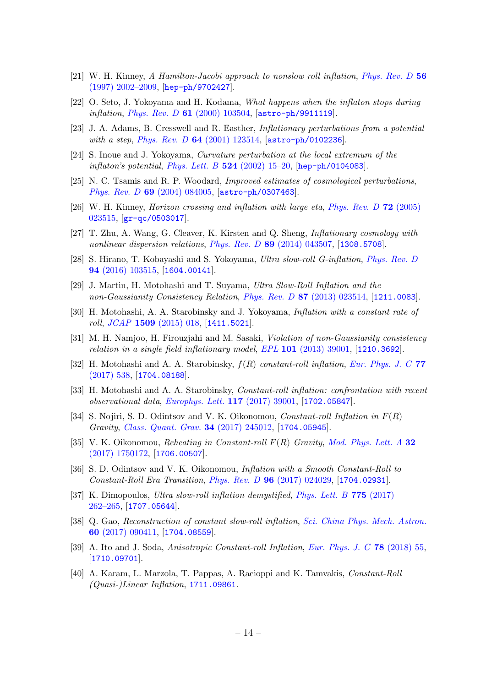- [21] W. H. Kinney, A Hamilton-Jacobi approach to nonslow roll inflation, *[Phys. Rev. D](http://dx.doi.org/10.1103/PhysRevD.56.2002)* 56 [\(1997\) 2002–2009,](http://dx.doi.org/10.1103/PhysRevD.56.2002) [[hep-ph/9702427](https://arxiv.org/abs/hep-ph/9702427)].
- [22] O. Seto, J. Yokoyama and H. Kodama, What happens when the inflaton stops during inflation, Phys. Rev. D 61 [\(2000\) 103504,](http://dx.doi.org/10.1103/PhysRevD.61.103504) [[astro-ph/9911119](https://arxiv.org/abs/astro-ph/9911119)].
- [23] J. A. Adams, B. Cresswell and R. Easther, Inflationary perturbations from a potential with a step, Phys. Rev. D 64 [\(2001\) 123514,](http://dx.doi.org/10.1103/PhysRevD.64.123514) [[astro-ph/0102236](https://arxiv.org/abs/astro-ph/0102236)].
- [24] S. Inoue and J. Yokoyama, Curvature perturbation at the local extremum of the *inflaton's potential, [Phys. Lett. B](http://dx.doi.org/10.1016/S0370-2693(01)01369-7)*  $524$  (2002) 15-20, [[hep-ph/0104083](https://arxiv.org/abs/hep-ph/0104083)].
- <span id="page-14-1"></span>[25] N. C. Tsamis and R. P. Woodard, Improved estimates of cosmological perturbations, Phys. Rev. D 69 [\(2004\) 084005,](http://dx.doi.org/10.1103/PhysRevD.69.084005) [[astro-ph/0307463](https://arxiv.org/abs/astro-ph/0307463)].
- <span id="page-14-2"></span>[26] W. H. Kinney, Horizon crossing and inflation with large eta, [Phys. Rev. D](http://dx.doi.org/10.1103/PhysRevD.72.023515) 72 (2005) [023515,](http://dx.doi.org/10.1103/PhysRevD.72.023515) [[gr-qc/0503017](https://arxiv.org/abs/gr-qc/0503017)].
- [27] T. Zhu, A. Wang, G. Cleaver, K. Kirsten and Q. Sheng, Inflationary cosmology with nonlinear dispersion relations, *Phys. Rev. D* **89** [\(2014\) 043507,](http://dx.doi.org/10.1103/PhysRevD.89.043507) [[1308.5708](https://arxiv.org/abs/1308.5708)].
- <span id="page-14-0"></span>[28] S. Hirano, T. Kobayashi and S. Yokoyama, Ultra slow-roll G-inflation, [Phys. Rev. D](http://dx.doi.org/10.1103/PhysRevD.94.103515) 94 [\(2016\) 103515,](http://dx.doi.org/10.1103/PhysRevD.94.103515) [[1604.00141](https://arxiv.org/abs/1604.00141)].
- <span id="page-14-3"></span>[29] J. Martin, H. Motohashi and T. Suyama, Ultra Slow-Roll Inflation and the non-Gaussianity Consistency Relation, Phys. Rev. D 87 [\(2013\) 023514,](http://dx.doi.org/10.1103/PhysRevD.87.023514) [[1211.0083](https://arxiv.org/abs/1211.0083)].
- <span id="page-14-4"></span>[30] H. Motohashi, A. A. Starobinsky and J. Yokoyama, Inflation with a constant rate of roll, JCAP 1509 [\(2015\) 018,](http://dx.doi.org/10.1088/1475-7516/2015/09/018) [[1411.5021](https://arxiv.org/abs/1411.5021)].
- <span id="page-14-5"></span>[31] M. H. Namjoo, H. Firouzjahi and M. Sasaki, Violation of non-Gaussianity consistency relation in a single field inflationary model,  $EPL$  101 [\(2013\) 39001,](http://dx.doi.org/10.1209/0295-5075/101/39001) [[1210.3692](https://arxiv.org/abs/1210.3692)].
- <span id="page-14-6"></span>[32] H. Motohashi and A. A. Starobinsky,  $f(R)$  constant-roll inflation, [Eur. Phys. J. C](http://dx.doi.org/10.1140/epjc/s10052-017-5109-x) 77 [\(2017\) 538,](http://dx.doi.org/10.1140/epjc/s10052-017-5109-x) [[1704.08188](https://arxiv.org/abs/1704.08188)].
- [33] H. Motohashi and A. A. Starobinsky, *Constant-roll inflation: confrontation with recent* observational data, [Europhys. Lett.](http://dx.doi.org/10.1209/0295-5075/117/39001) 117 (2017) 39001, [[1702.05847](https://arxiv.org/abs/1702.05847)].
- [34] S. Nojiri, S. D. Odintsov and V. K. Oikonomou, *Constant-roll Inflation in*  $F(R)$ Gravity, [Class. Quant. Grav.](http://dx.doi.org/10.1088/1361-6382/aa92a4) 34 (2017) 245012, [[1704.05945](https://arxiv.org/abs/1704.05945)].
- [35] V. K. Oikonomou, Reheating in Constant-roll  $F(R)$  Gravity, [Mod. Phys. Lett. A](http://dx.doi.org/10.1142/S0217732317501723) 32 [\(2017\) 1750172,](http://dx.doi.org/10.1142/S0217732317501723) [[1706.00507](https://arxiv.org/abs/1706.00507)].
- [36] S. D. Odintsov and V. K. Oikonomou, Inflation with a Smooth Constant-Roll to Constant-Roll Era Transition, Phys. Rev. D 96 [\(2017\) 024029,](http://dx.doi.org/10.1103/PhysRevD.96.024029) [[1704.02931](https://arxiv.org/abs/1704.02931)].
- [37] K. Dimopoulos, Ultra slow-roll inflation demystified, [Phys. Lett. B](http://dx.doi.org/10.1016/j.physletb.2017.10.066) 775 (2017) [262–265,](http://dx.doi.org/10.1016/j.physletb.2017.10.066) [[1707.05644](https://arxiv.org/abs/1707.05644)].
- [38] Q. Gao, Reconstruction of constant slow-roll inflation, [Sci. China Phys. Mech. Astron.](http://dx.doi.org/10.1007/s11433-017-9065-4) 60 [\(2017\) 090411,](http://dx.doi.org/10.1007/s11433-017-9065-4) [[1704.08559](https://arxiv.org/abs/1704.08559)].
- [39] A. Ito and J. Soda, Anisotropic Constant-roll Inflation, [Eur. Phys. J. C](http://dx.doi.org/10.1140/epjc/s10052-018-5534-5) 78 (2018) 55, [[1710.09701](https://arxiv.org/abs/1710.09701)].
- [40] A. Karam, L. Marzola, T. Pappas, A. Racioppi and K. Tamvakis, Constant-Roll  $(Quasi-)Linear Inflation, 1711.09861.$  $(Quasi-)Linear Inflation, 1711.09861.$  $(Quasi-)Linear Inflation, 1711.09861.$